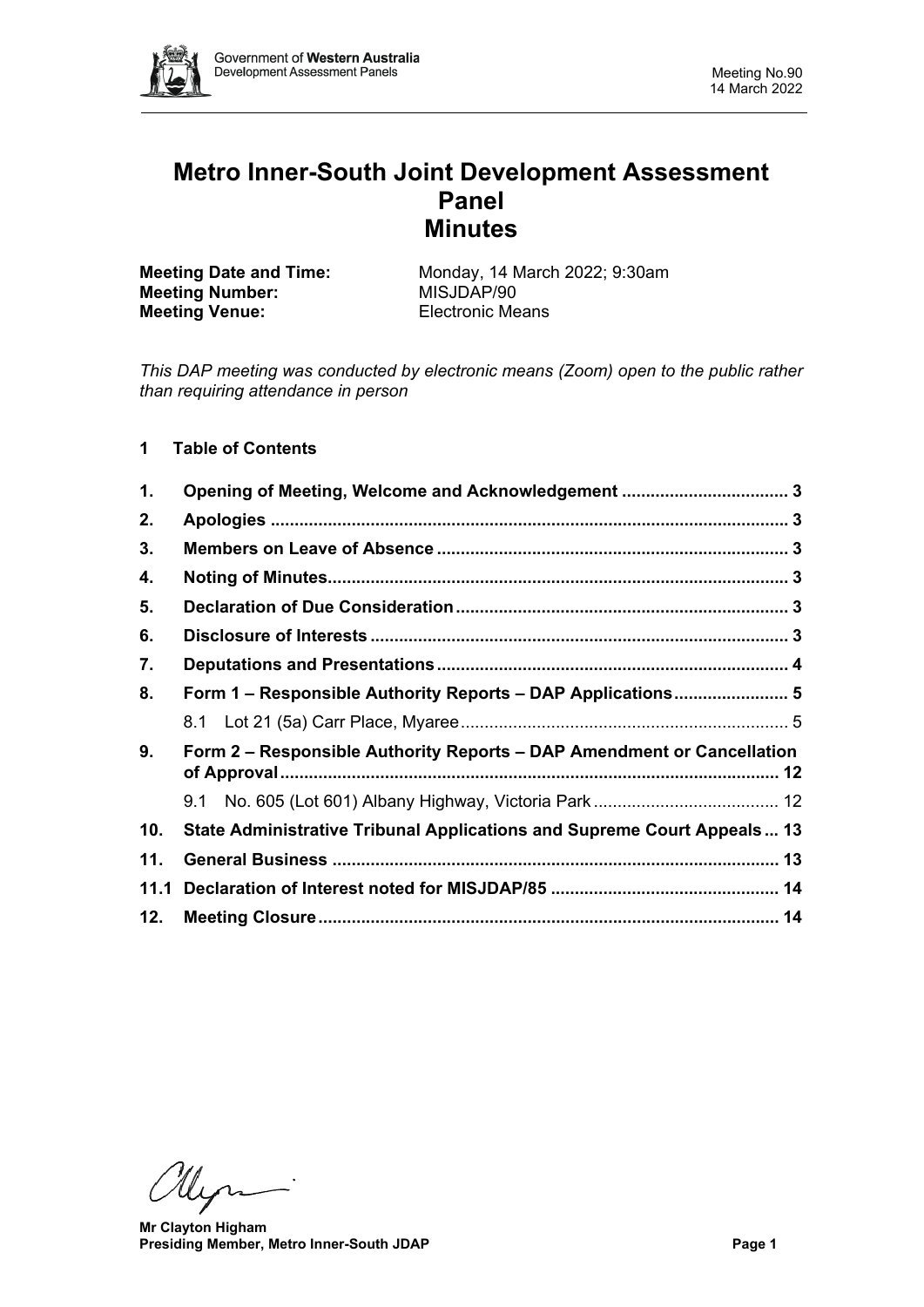

# **Metro Inner-South Joint Development Assessment Panel Minutes**

**Meeting Number:** MISJDAP/90<br> **Meeting Venue:** Electronic Means **Meeting Venue:** 

**Meeting Date and Time:** Monday, 14 March 2022; 9:30am<br> **MISJDAP/90**<br>
MISJDAP/90

*This DAP meeting was conducted by electronic means (Zoom) open to the public rather than requiring attendance in person*

# **1 Table of Contents**

| 1.   | Opening of Meeting, Welcome and Acknowledgement  3                      |  |  |  |  |
|------|-------------------------------------------------------------------------|--|--|--|--|
| 2.   |                                                                         |  |  |  |  |
| 3.   |                                                                         |  |  |  |  |
| 4.   |                                                                         |  |  |  |  |
| 5.   |                                                                         |  |  |  |  |
| 6.   |                                                                         |  |  |  |  |
| 7.   |                                                                         |  |  |  |  |
| 8.   | Form 1 – Responsible Authority Reports – DAP Applications 5             |  |  |  |  |
|      |                                                                         |  |  |  |  |
| 9.   | Form 2 – Responsible Authority Reports – DAP Amendment or Cancellation  |  |  |  |  |
|      |                                                                         |  |  |  |  |
| 10.  | State Administrative Tribunal Applications and Supreme Court Appeals 13 |  |  |  |  |
| 11.  |                                                                         |  |  |  |  |
| 11.1 |                                                                         |  |  |  |  |
| 12.  |                                                                         |  |  |  |  |

llyn-

 **Mr Clayton Higham Presiding Member, Metro Inner-South JDAP Page 1**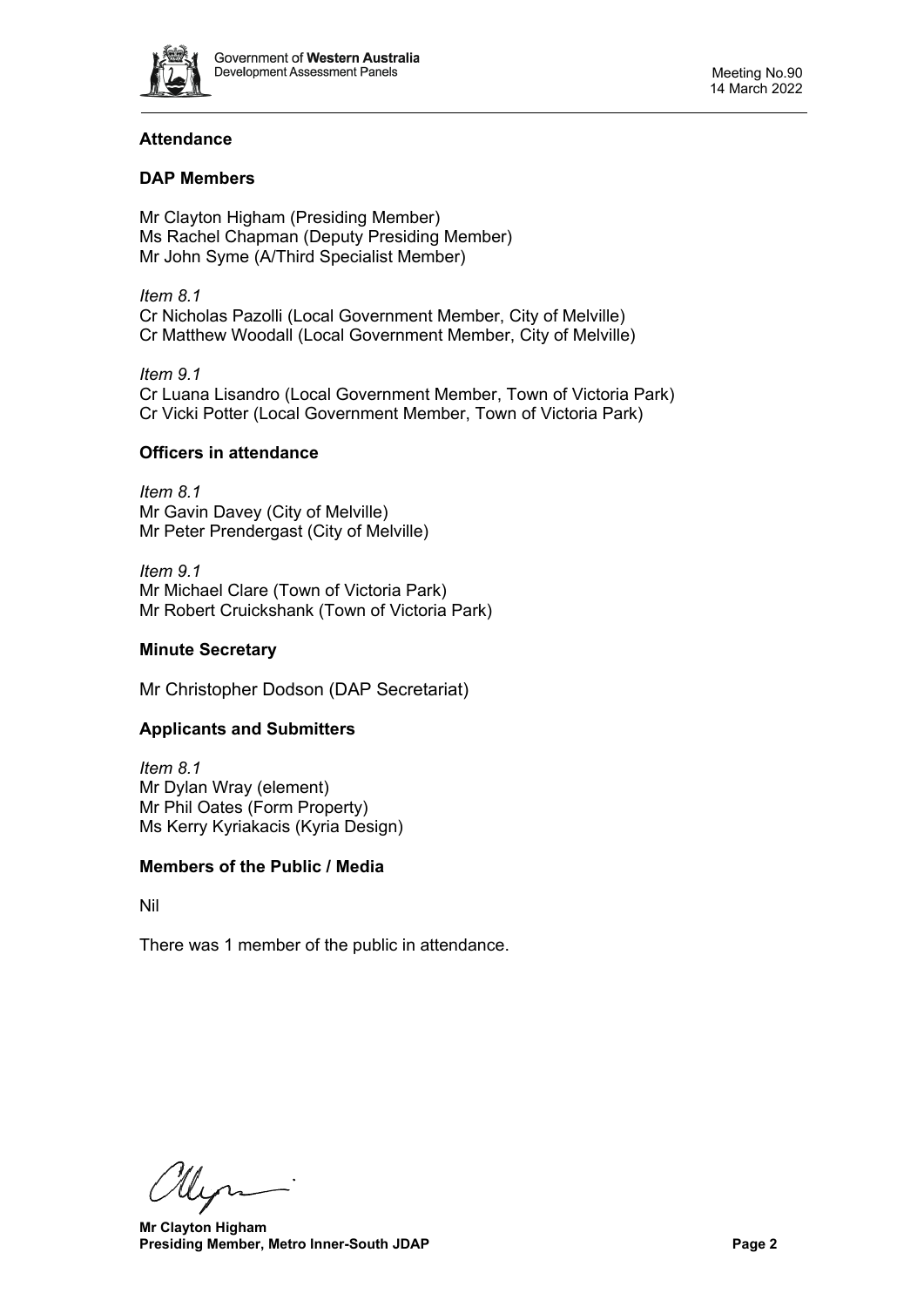

# **Attendance**

# **DAP Members**

Mr Clayton Higham (Presiding Member) Ms Rachel Chapman (Deputy Presiding Member) Mr John Syme (A/Third Specialist Member)

*Item 8.1* Cr Nicholas Pazolli (Local Government Member, City of Melville) Cr Matthew Woodall (Local Government Member, City of Melville)

*Item 9.1* Cr Luana Lisandro (Local Government Member, Town of Victoria Park) Cr Vicki Potter (Local Government Member, Town of Victoria Park)

## **Officers in attendance**

*Item 8.1* Mr Gavin Davey (City of Melville) Mr Peter Prendergast (City of Melville)

*Item 9.1* Mr Michael Clare (Town of Victoria Park) Mr Robert Cruickshank (Town of Victoria Park)

## **Minute Secretary**

Mr Christopher Dodson (DAP Secretariat)

## **Applicants and Submitters**

*Item 8.1* Mr Dylan Wray (element) Mr Phil Oates (Form Property) Ms Kerry Kyriakacis (Kyria Design)

#### **Members of the Public / Media**

Nil

There was 1 member of the public in attendance.

llyn

 **Mr Clayton Higham Presiding Member, Metro Inner-South JDAP Page 2**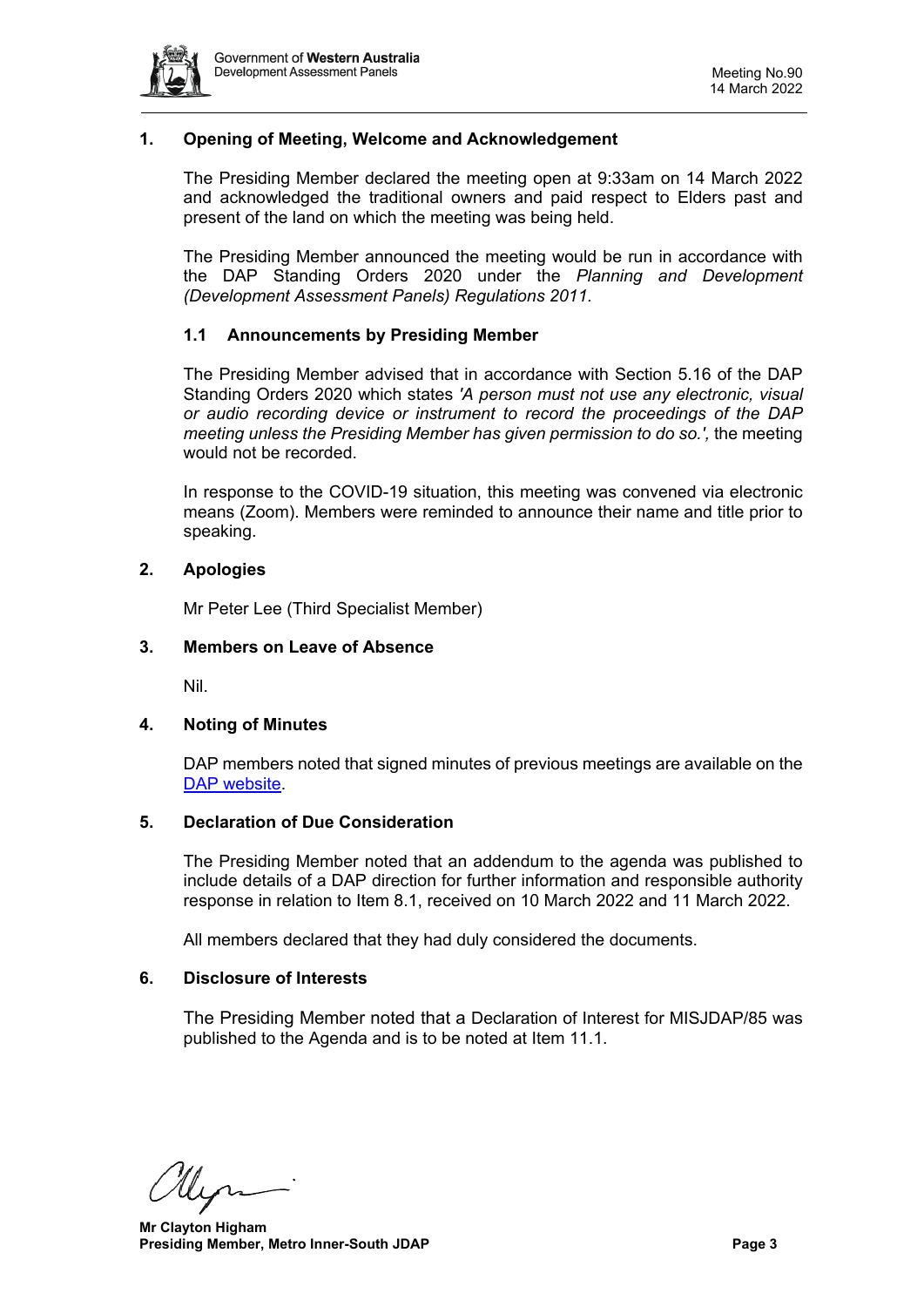

## <span id="page-2-0"></span>**1. Opening of Meeting, Welcome and Acknowledgement**

The Presiding Member declared the meeting open at 9:33am on 14 March 2022 and acknowledged the traditional owners and paid respect to Elders past and present of the land on which the meeting was being held.

The Presiding Member announced the meeting would be run in accordance with the DAP Standing Orders 2020 under the *Planning and Development (Development Assessment Panels) Regulations 2011.*

#### **1.1 Announcements by Presiding Member**

The Presiding Member advised that in accordance with Section 5.16 of the DAP Standing Orders 2020 which states *'A person must not use any electronic, visual or audio recording device or instrument to record the proceedings of the DAP meeting unless the Presiding Member has given permission to do so.',* the meeting would not be recorded.

In response to the COVID-19 situation, this meeting was convened via electronic means (Zoom). Members were reminded to announce their name and title prior to speaking.

#### <span id="page-2-1"></span>**2. Apologies**

Mr Peter Lee (Third Specialist Member)

#### <span id="page-2-2"></span>**3. Members on Leave of Absence**

Nil.

#### <span id="page-2-3"></span>**4. Noting of Minutes**

DAP members noted that signed minutes of previous meetings are available on the [DAP website.](https://www.dplh.wa.gov.au/about/development-assessment-panels/daps-agendas-and-minutes)

#### <span id="page-2-4"></span>**5. Declaration of Due Consideration**

The Presiding Member noted that an addendum to the agenda was published to include details of a DAP direction for further information and responsible authority response in relation to Item 8.1, received on 10 March 2022 and 11 March 2022.

All members declared that they had duly considered the documents.

#### <span id="page-2-5"></span>**6. Disclosure of Interests**

The Presiding Member noted that a Declaration of Interest for MISJDAP/85 was published to the Agenda and is to be noted at Item 11.1.

 **Mr Clayton Higham Presiding Member, Metro Inner-South JDAP Page 3 Page 3**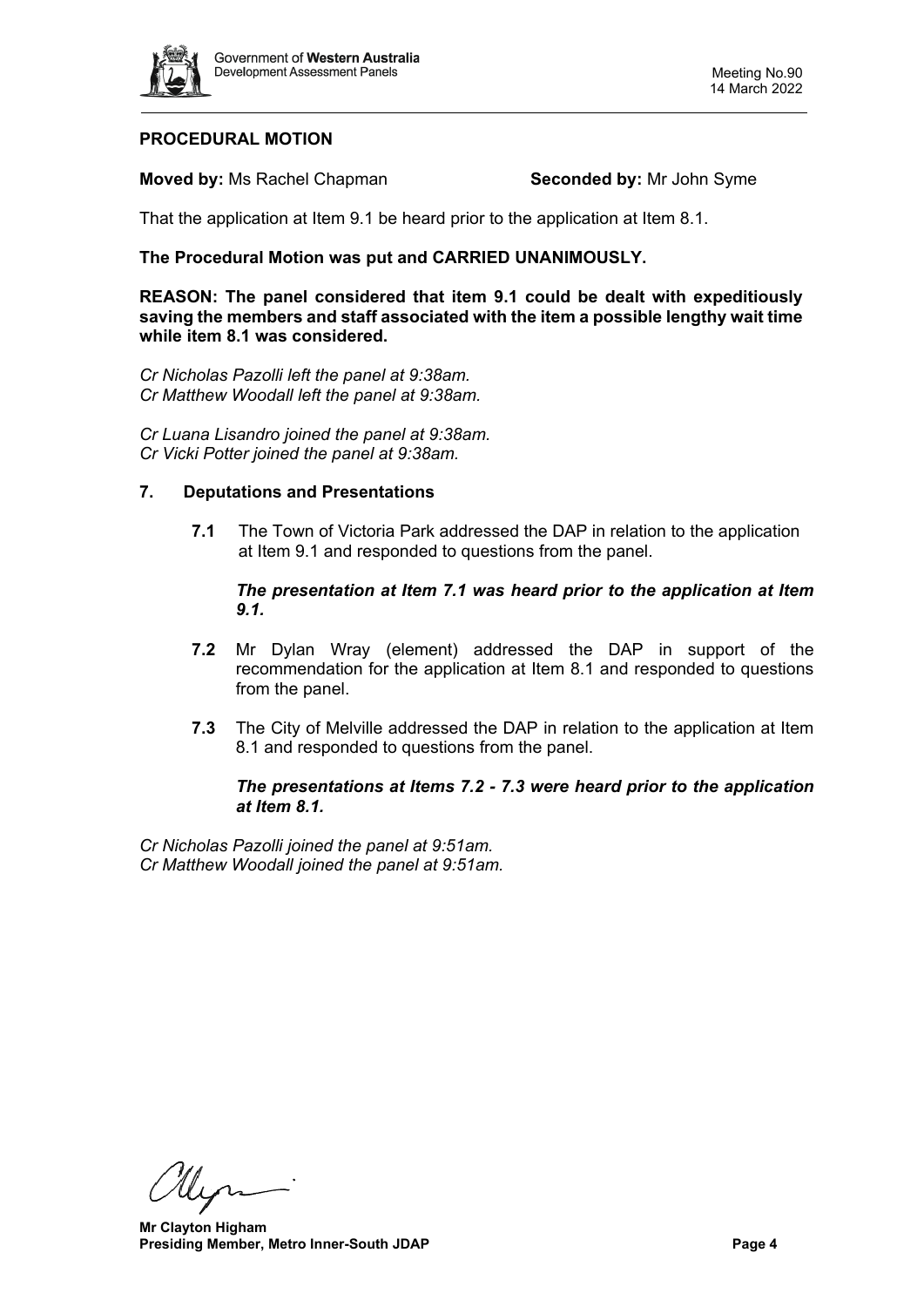

# **PROCEDURAL MOTION**

**Moved by:** Ms Rachel Chapman **Seconded by:** Mr John Syme

That the application at Item 9.1 be heard prior to the application at Item 8.1.

# **The Procedural Motion was put and CARRIED UNANIMOUSLY.**

**REASON: The panel considered that item 9.1 could be dealt with expeditiously saving the members and staff associated with the item a possible lengthy wait time while item 8.1 was considered.**

*Cr Nicholas Pazolli left the panel at 9:38am. Cr Matthew Woodall left the panel at 9:38am.*

*Cr Luana Lisandro joined the panel at 9:38am. Cr Vicki Potter joined the panel at 9:38am.*

#### <span id="page-3-0"></span>**7. Deputations and Presentations**

**7.1** The Town of Victoria Park addressed the DAP in relation to the application at Item 9.1 and responded to questions from the panel.

#### *The presentation at Item 7.1 was heard prior to the application at Item 9.1.*

- **7.2** Mr Dylan Wray (element) addressed the DAP in support of the recommendation for the application at Item 8.1 and responded to questions from the panel.
- **7.3** The City of Melville addressed the DAP in relation to the application at Item 8.1 and responded to questions from the panel.

## *The presentations at Items 7.2 - 7.3 were heard prior to the application at Item 8.1.*

*Cr Nicholas Pazolli joined the panel at 9:51am. Cr Matthew Woodall joined the panel at 9:51am.*

llyn-

 **Mr Clayton Higham Presiding Member, Metro Inner-South JDAP Page 4 Page 4**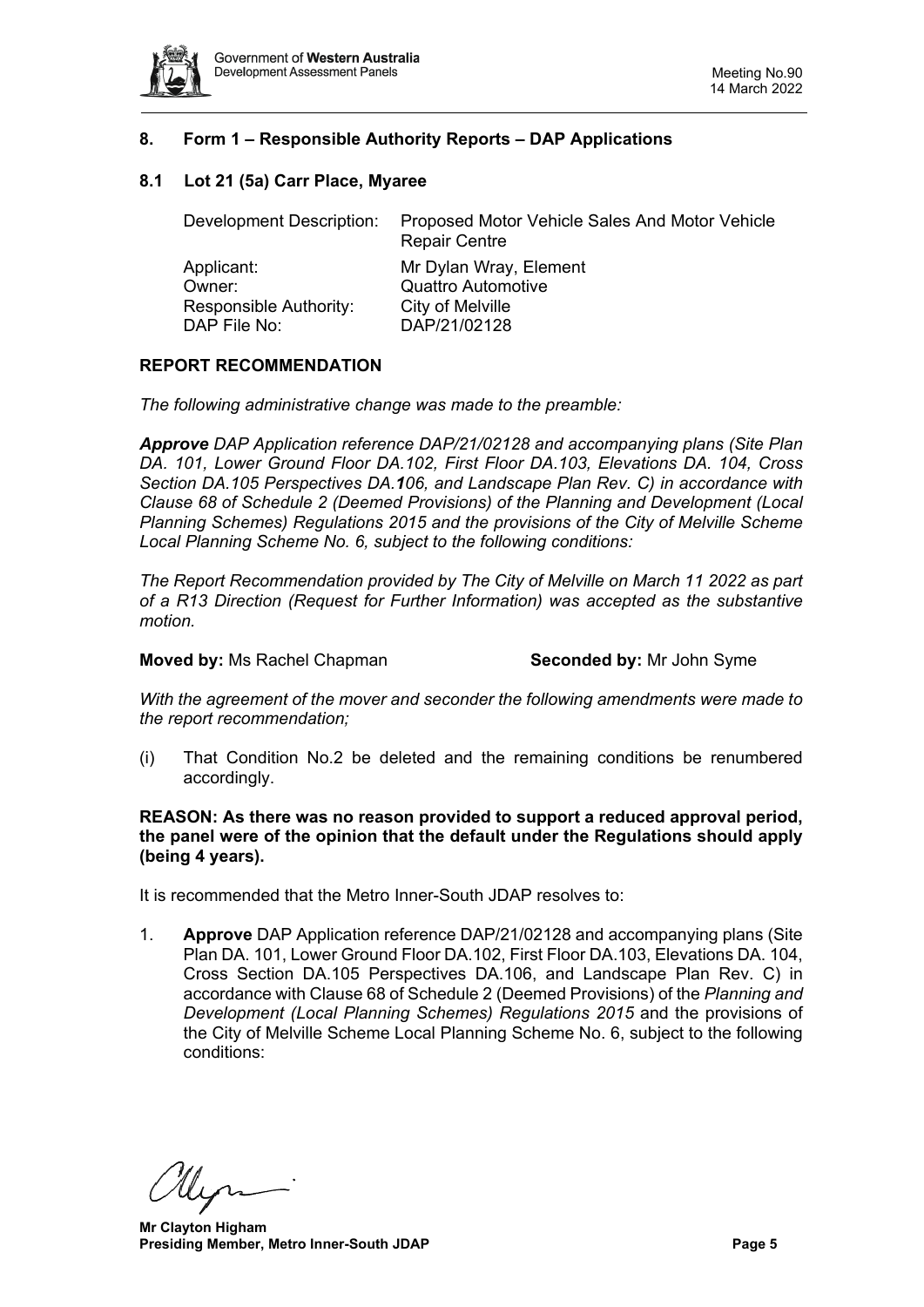

# <span id="page-4-0"></span>**8. Form 1 – Responsible Authority Reports – DAP Applications**

## <span id="page-4-1"></span>**8.1 Lot 21 (5a) Carr Place, Myaree**

Development Description: Proposed Motor Vehicle Sales And Motor Vehicle Repair Centre Applicant: Mr Dylan Wray, Element Owner: Quattro Automotive Responsible Authority: City of Melville DAP File No: DAP/21/02128

#### **REPORT RECOMMENDATION**

*The following administrative change was made to the preamble:*

*Approve DAP Application reference DAP/21/02128 and accompanying plans (Site Plan DA. 101, Lower Ground Floor DA.102, First Floor DA.103, Elevations DA. 104, Cross Section DA.105 Perspectives DA.106, and Landscape Plan Rev. C) in accordance with Clause 68 of Schedule 2 (Deemed Provisions) of the Planning and Development (Local Planning Schemes) Regulations 2015 and the provisions of the City of Melville Scheme Local Planning Scheme No. 6, subject to the following conditions:*

*The Report Recommendation provided by The City of Melville on March 11 2022 as part of a R13 Direction (Request for Further Information) was accepted as the substantive motion.*

#### **Moved by:** Ms Rachel Chapman **Seconded by:** Mr John Syme

*With the agreement of the mover and seconder the following amendments were made to the report recommendation;*

(i) That Condition No.2 be deleted and the remaining conditions be renumbered accordingly.

**REASON: As there was no reason provided to support a reduced approval period, the panel were of the opinion that the default under the Regulations should apply (being 4 years).** 

It is recommended that the Metro Inner-South JDAP resolves to:

1. **Approve** DAP Application reference DAP/21/02128 and accompanying plans (Site Plan DA. 101, Lower Ground Floor DA.102, First Floor DA.103, Elevations DA. 104, Cross Section DA.105 Perspectives DA.106, and Landscape Plan Rev. C) in accordance with Clause 68 of Schedule 2 (Deemed Provisions) of the *Planning and Development (Local Planning Schemes) Regulations 2015* and the provisions of the City of Melville Scheme Local Planning Scheme No. 6, subject to the following conditions:

 **Mr Clayton Higham Presiding Member, Metro Inner-South JDAP Page 5 Page 5**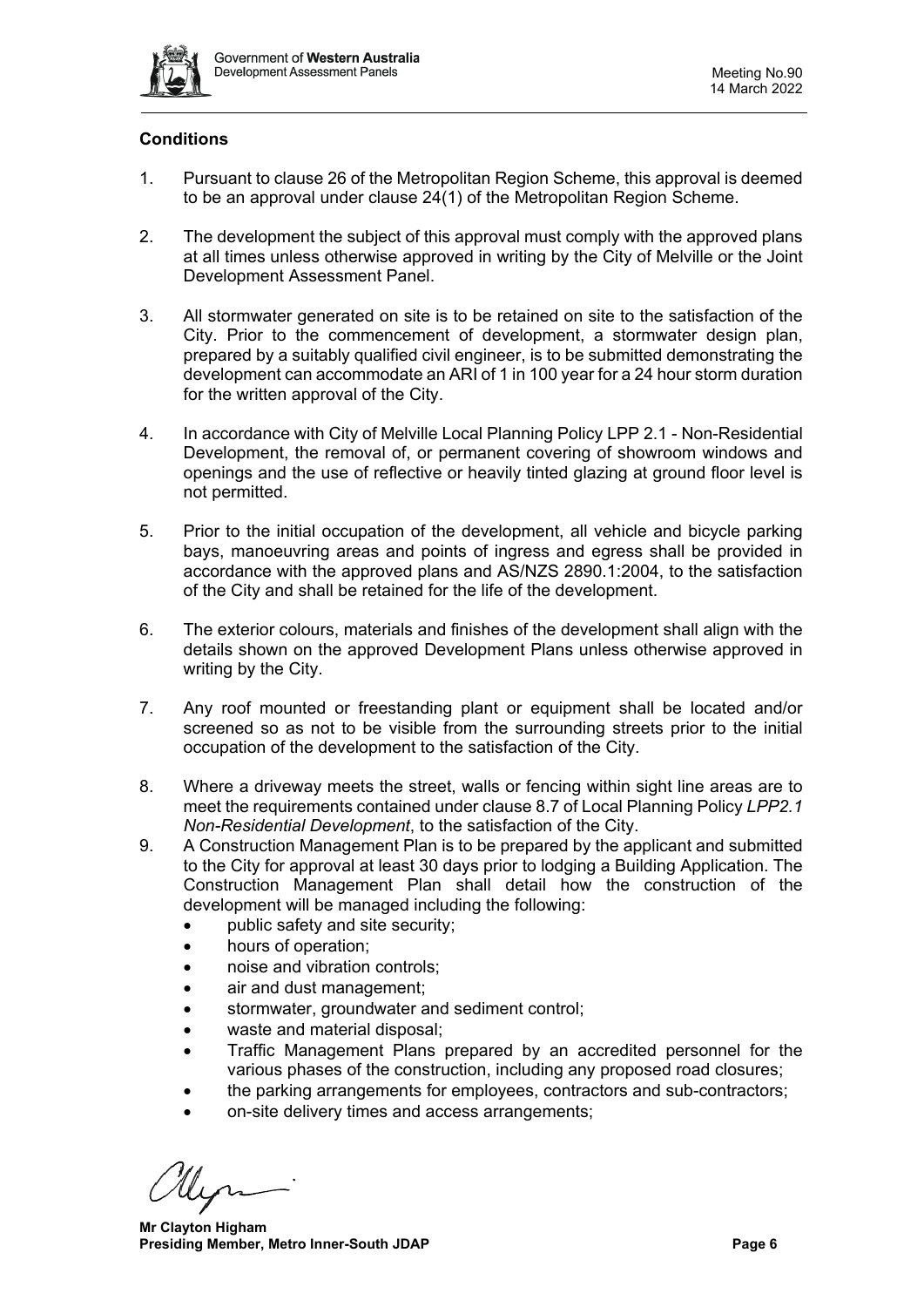

# **Conditions**

- 1. Pursuant to clause 26 of the Metropolitan Region Scheme, this approval is deemed to be an approval under clause 24(1) of the Metropolitan Region Scheme.
- 2. The development the subject of this approval must comply with the approved plans at all times unless otherwise approved in writing by the City of Melville or the Joint Development Assessment Panel.
- 3. All stormwater generated on site is to be retained on site to the satisfaction of the City. Prior to the commencement of development, a stormwater design plan, prepared by a suitably qualified civil engineer, is to be submitted demonstrating the development can accommodate an ARI of 1 in 100 year for a 24 hour storm duration for the written approval of the City.
- 4. In accordance with City of Melville Local Planning Policy LPP 2.1 Non-Residential Development, the removal of, or permanent covering of showroom windows and openings and the use of reflective or heavily tinted glazing at ground floor level is not permitted.
- 5. Prior to the initial occupation of the development, all vehicle and bicycle parking bays, manoeuvring areas and points of ingress and egress shall be provided in accordance with the approved plans and AS/NZS 2890.1:2004, to the satisfaction of the City and shall be retained for the life of the development.
- 6. The exterior colours, materials and finishes of the development shall align with the details shown on the approved Development Plans unless otherwise approved in writing by the City.
- 7. Any roof mounted or freestanding plant or equipment shall be located and/or screened so as not to be visible from the surrounding streets prior to the initial occupation of the development to the satisfaction of the City.
- 8. Where a driveway meets the street, walls or fencing within sight line areas are to meet the requirements contained under clause 8.7 of Local Planning Policy *LPP2.1 Non-Residential Development*, to the satisfaction of the City.
- 9. A Construction Management Plan is to be prepared by the applicant and submitted to the City for approval at least 30 days prior to lodging a Building Application. The Construction Management Plan shall detail how the construction of the development will be managed including the following:
	- public safety and site security;
	- hours of operation;
	- noise and vibration controls;
	- air and dust management;
	- stormwater, groundwater and sediment control;
	- waste and material disposal;
	- Traffic Management Plans prepared by an accredited personnel for the various phases of the construction, including any proposed road closures;
	- the parking arrangements for employees, contractors and sub-contractors;
	- on-site delivery times and access arrangements;

 **Mr Clayton Higham Presiding Member, Metro Inner-South JDAP Page 6 Page 6**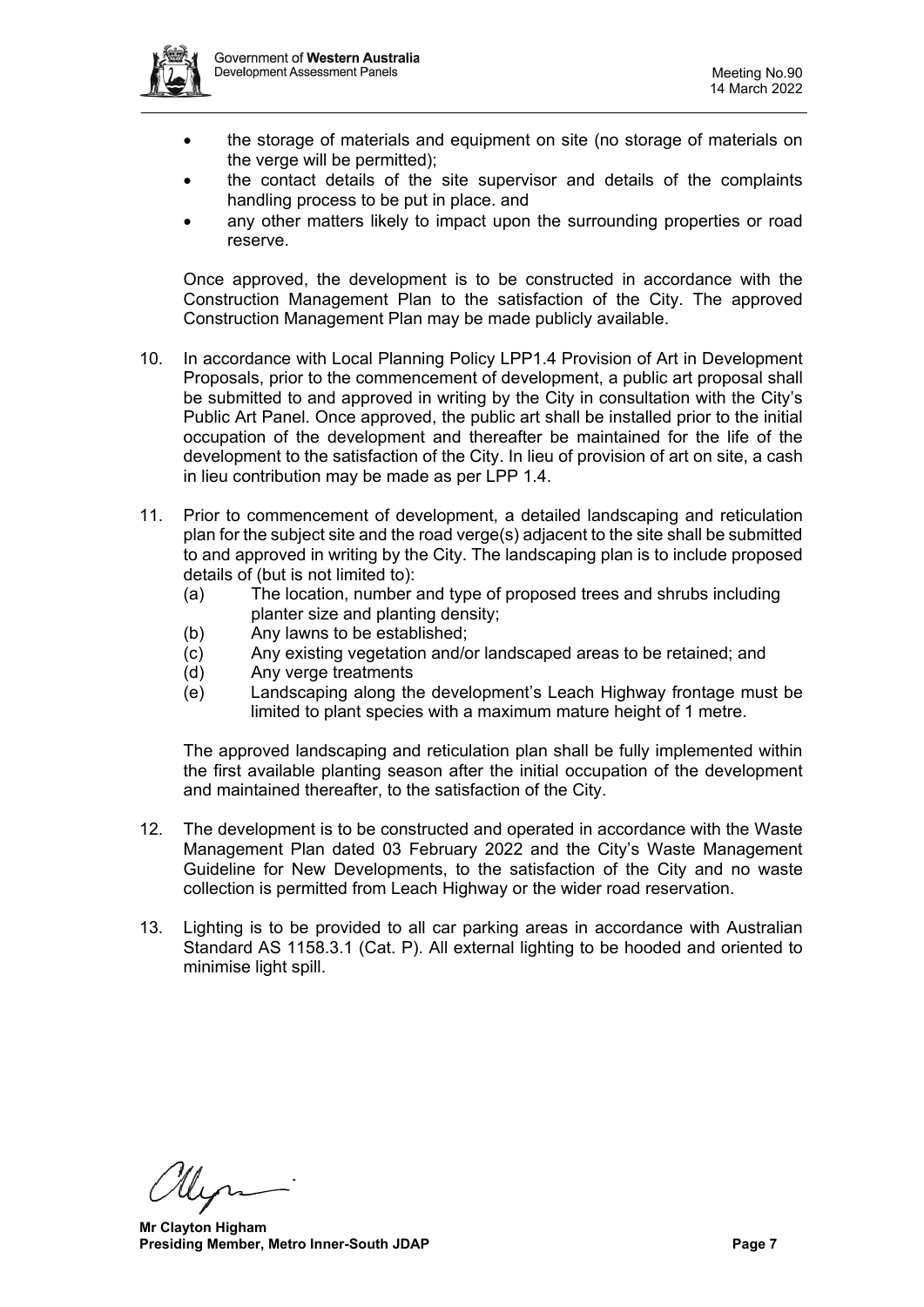

- the storage of materials and equipment on site (no storage of materials on the verge will be permitted);
- the contact details of the site supervisor and details of the complaints handling process to be put in place. and
- any other matters likely to impact upon the surrounding properties or road reserve.

Once approved, the development is to be constructed in accordance with the Construction Management Plan to the satisfaction of the City. The approved Construction Management Plan may be made publicly available.

- 10. In accordance with Local Planning Policy LPP1.4 Provision of Art in Development Proposals, prior to the commencement of development, a public art proposal shall be submitted to and approved in writing by the City in consultation with the City's Public Art Panel. Once approved, the public art shall be installed prior to the initial occupation of the development and thereafter be maintained for the life of the development to the satisfaction of the City. In lieu of provision of art on site, a cash in lieu contribution may be made as per LPP 1.4.
- 11. Prior to commencement of development, a detailed landscaping and reticulation plan for the subject site and the road verge(s) adjacent to the site shall be submitted to and approved in writing by the City. The landscaping plan is to include proposed details of (but is not limited to):
	- (a) The location, number and type of proposed trees and shrubs including planter size and planting density;
	- (b) Any lawns to be established;
	- (c) Any existing vegetation and/or landscaped areas to be retained; and
	- (d) Any verge treatments
	- (e) Landscaping along the development's Leach Highway frontage must be limited to plant species with a maximum mature height of 1 metre.

The approved landscaping and reticulation plan shall be fully implemented within the first available planting season after the initial occupation of the development and maintained thereafter, to the satisfaction of the City.

- 12. The development is to be constructed and operated in accordance with the Waste Management Plan dated 03 February 2022 and the City's Waste Management Guideline for New Developments, to the satisfaction of the City and no waste collection is permitted from Leach Highway or the wider road reservation.
- 13. Lighting is to be provided to all car parking areas in accordance with Australian Standard AS 1158.3.1 (Cat. P). All external lighting to be hooded and oriented to minimise light spill.

 **Mr Clayton Higham Presiding Member, Metro Inner-South JDAP Page 7 Page 7**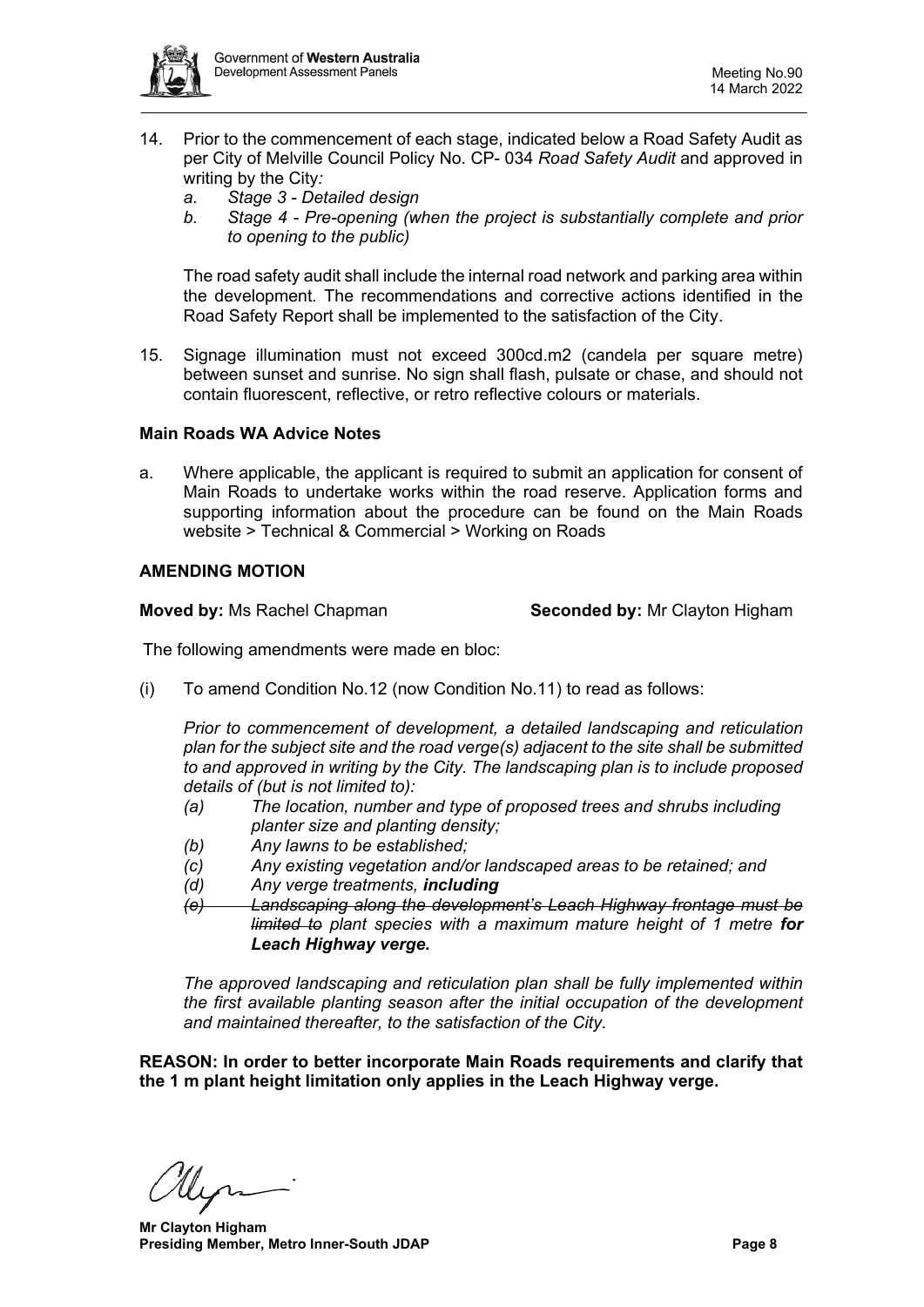

- 14. Prior to the commencement of each stage, indicated below a Road Safety Audit as per City of Melville Council Policy No. CP- 034 *Road Safety Audit* and approved in writing by the City*:* 
	- *a. Stage 3 - Detailed design*
	- *b. Stage 4 - Pre-opening (when the project is substantially complete and prior to opening to the public)*

The road safety audit shall include the internal road network and parking area within the development*.* The recommendations and corrective actions identified in the Road Safety Report shall be implemented to the satisfaction of the City.

15. Signage illumination must not exceed 300cd.m2 (candela per square metre) between sunset and sunrise. No sign shall flash, pulsate or chase, and should not contain fluorescent, reflective, or retro reflective colours or materials.

# **Main Roads WA Advice Notes**

a. Where applicable, the applicant is required to submit an application for consent of Main Roads to undertake works within the road reserve. Application forms and supporting information about the procedure can be found on the Main Roads website > Technical & Commercial > Working on Roads

#### **AMENDING MOTION**

**Moved by:** Ms Rachel Chapman **Seconded by:** Mr Clayton Higham

The following amendments were made en bloc:

(i) To amend Condition No.12 (now Condition No.11) to read as follows:

*Prior to commencement of development, a detailed landscaping and reticulation plan for the subject site and the road verge(s) adjacent to the site shall be submitted to and approved in writing by the City. The landscaping plan is to include proposed details of (but is not limited to):*

- *(a) The location, number and type of proposed trees and shrubs including planter size and planting density;*
- *(b) Any lawns to be established;*
- *(c) Any existing vegetation and/or landscaped areas to be retained; and*
- *(d) Any verge treatments, including*
- *(e) Landscaping along the development's Leach Highway frontage must be limited to plant species with a maximum mature height of 1 metre for Leach Highway verge.*

*The approved landscaping and reticulation plan shall be fully implemented within the first available planting season after the initial occupation of the development and maintained thereafter, to the satisfaction of the City.* 

**REASON: In order to better incorporate Main Roads requirements and clarify that the 1 m plant height limitation only applies in the Leach Highway verge.** 

 **Mr Clayton Higham Presiding Member, Metro Inner-South JDAP Page 8**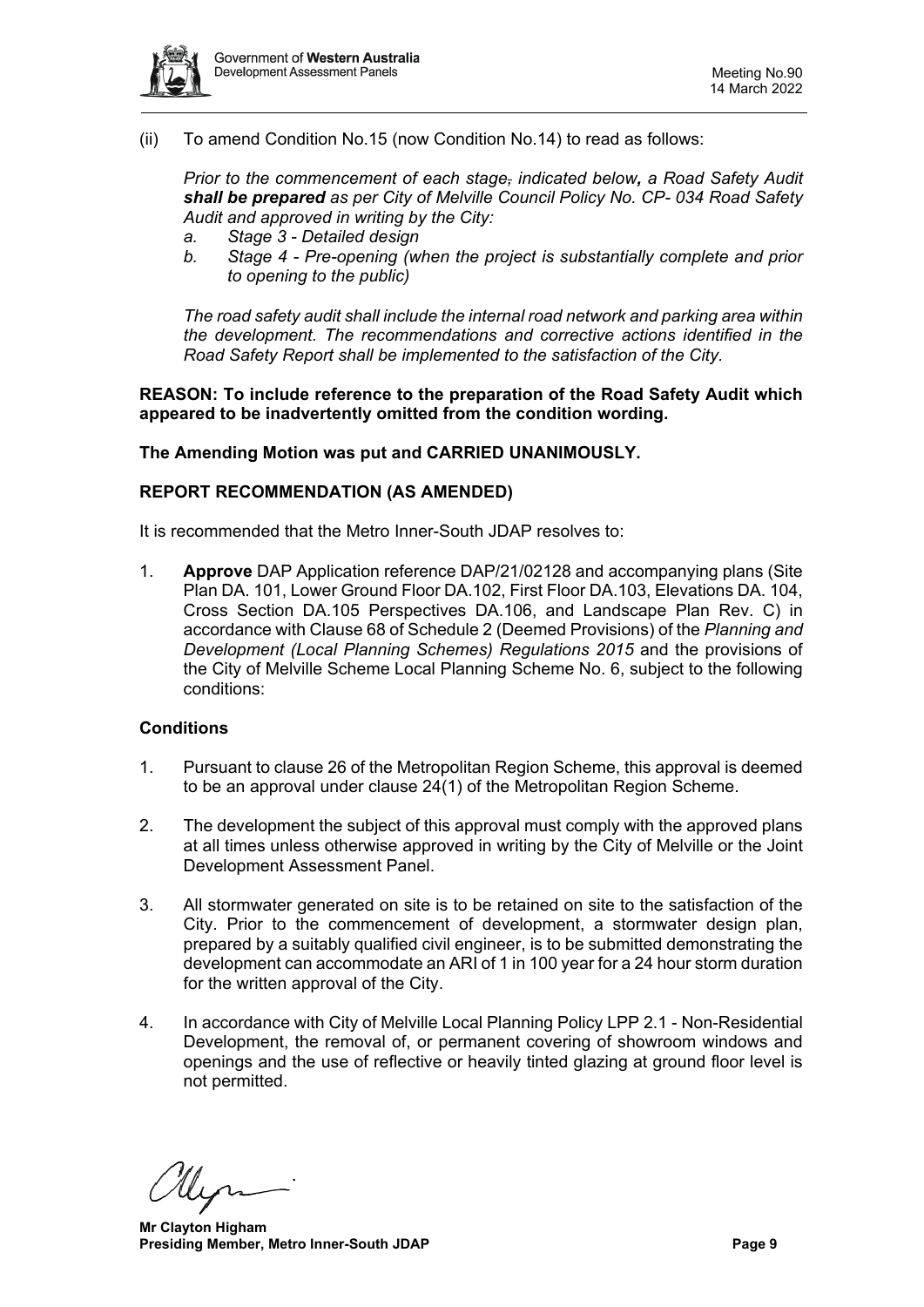

(ii) To amend Condition No.15 (now Condition No.14) to read as follows:

*Prior to the commencement of each stage, indicated below, a Road Safety Audit shall be prepared as per City of Melville Council Policy No. CP- 034 Road Safety Audit and approved in writing by the City:* 

- *a. Stage 3 - Detailed design*
- *b. Stage 4 - Pre-opening (when the project is substantially complete and prior to opening to the public)*

*The road safety audit shall include the internal road network and parking area within the development. The recommendations and corrective actions identified in the Road Safety Report shall be implemented to the satisfaction of the City.* 

**REASON: To include reference to the preparation of the Road Safety Audit which appeared to be inadvertently omitted from the condition wording.**

#### **The Amending Motion was put and CARRIED UNANIMOUSLY.**

#### **REPORT RECOMMENDATION (AS AMENDED)**

It is recommended that the Metro Inner-South JDAP resolves to:

1. **Approve** DAP Application reference DAP/21/02128 and accompanying plans (Site Plan DA. 101, Lower Ground Floor DA.102, First Floor DA.103, Elevations DA. 104, Cross Section DA.105 Perspectives DA.106, and Landscape Plan Rev. C) in accordance with Clause 68 of Schedule 2 (Deemed Provisions) of the *Planning and Development (Local Planning Schemes) Regulations 2015* and the provisions of the City of Melville Scheme Local Planning Scheme No. 6, subject to the following conditions:

#### **Conditions**

- 1. Pursuant to clause 26 of the Metropolitan Region Scheme, this approval is deemed to be an approval under clause 24(1) of the Metropolitan Region Scheme.
- 2. The development the subject of this approval must comply with the approved plans at all times unless otherwise approved in writing by the City of Melville or the Joint Development Assessment Panel.
- 3. All stormwater generated on site is to be retained on site to the satisfaction of the City. Prior to the commencement of development, a stormwater design plan, prepared by a suitably qualified civil engineer, is to be submitted demonstrating the development can accommodate an ARI of 1 in 100 year for a 24 hour storm duration for the written approval of the City.
- 4. In accordance with City of Melville Local Planning Policy LPP 2.1 Non-Residential Development, the removal of, or permanent covering of showroom windows and openings and the use of reflective or heavily tinted glazing at ground floor level is not permitted.

 **Mr Clayton Higham Presiding Member, Metro Inner-South JDAP Page 9 Page 9**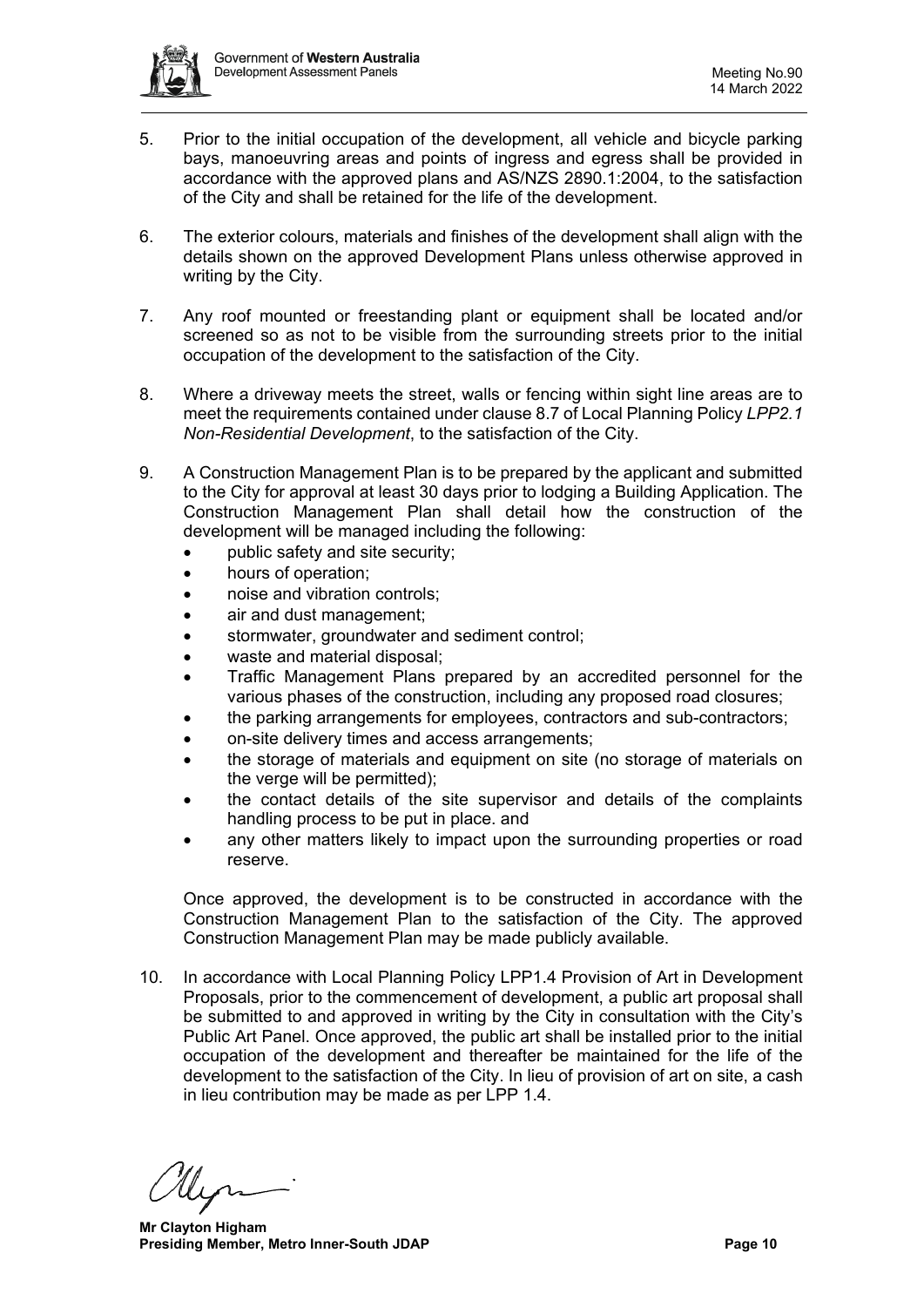

- 5. Prior to the initial occupation of the development, all vehicle and bicycle parking bays, manoeuvring areas and points of ingress and egress shall be provided in accordance with the approved plans and AS/NZS 2890.1:2004, to the satisfaction of the City and shall be retained for the life of the development.
- 6. The exterior colours, materials and finishes of the development shall align with the details shown on the approved Development Plans unless otherwise approved in writing by the City.
- 7. Any roof mounted or freestanding plant or equipment shall be located and/or screened so as not to be visible from the surrounding streets prior to the initial occupation of the development to the satisfaction of the City.
- 8. Where a driveway meets the street, walls or fencing within sight line areas are to meet the requirements contained under clause 8.7 of Local Planning Policy *LPP2.1 Non-Residential Development*, to the satisfaction of the City.
- 9. A Construction Management Plan is to be prepared by the applicant and submitted to the City for approval at least 30 days prior to lodging a Building Application. The Construction Management Plan shall detail how the construction of the development will be managed including the following:
	- public safety and site security;
	- hours of operation;
	- noise and vibration controls:
	- air and dust management;
	- stormwater, groundwater and sediment control;
	- waste and material disposal:
	- Traffic Management Plans prepared by an accredited personnel for the various phases of the construction, including any proposed road closures;
	- the parking arrangements for employees, contractors and sub-contractors;
	- on-site delivery times and access arrangements;
	- the storage of materials and equipment on site (no storage of materials on the verge will be permitted);
	- the contact details of the site supervisor and details of the complaints handling process to be put in place. and
	- any other matters likely to impact upon the surrounding properties or road reserve.

Once approved, the development is to be constructed in accordance with the Construction Management Plan to the satisfaction of the City. The approved Construction Management Plan may be made publicly available.

10. In accordance with Local Planning Policy LPP1.4 Provision of Art in Development Proposals, prior to the commencement of development, a public art proposal shall be submitted to and approved in writing by the City in consultation with the City's Public Art Panel. Once approved, the public art shall be installed prior to the initial occupation of the development and thereafter be maintained for the life of the development to the satisfaction of the City. In lieu of provision of art on site, a cash in lieu contribution may be made as per LPP 1.4.

 **Mr Clayton Higham Presiding Member, Metro Inner-South JDAP Page 10 Page 10**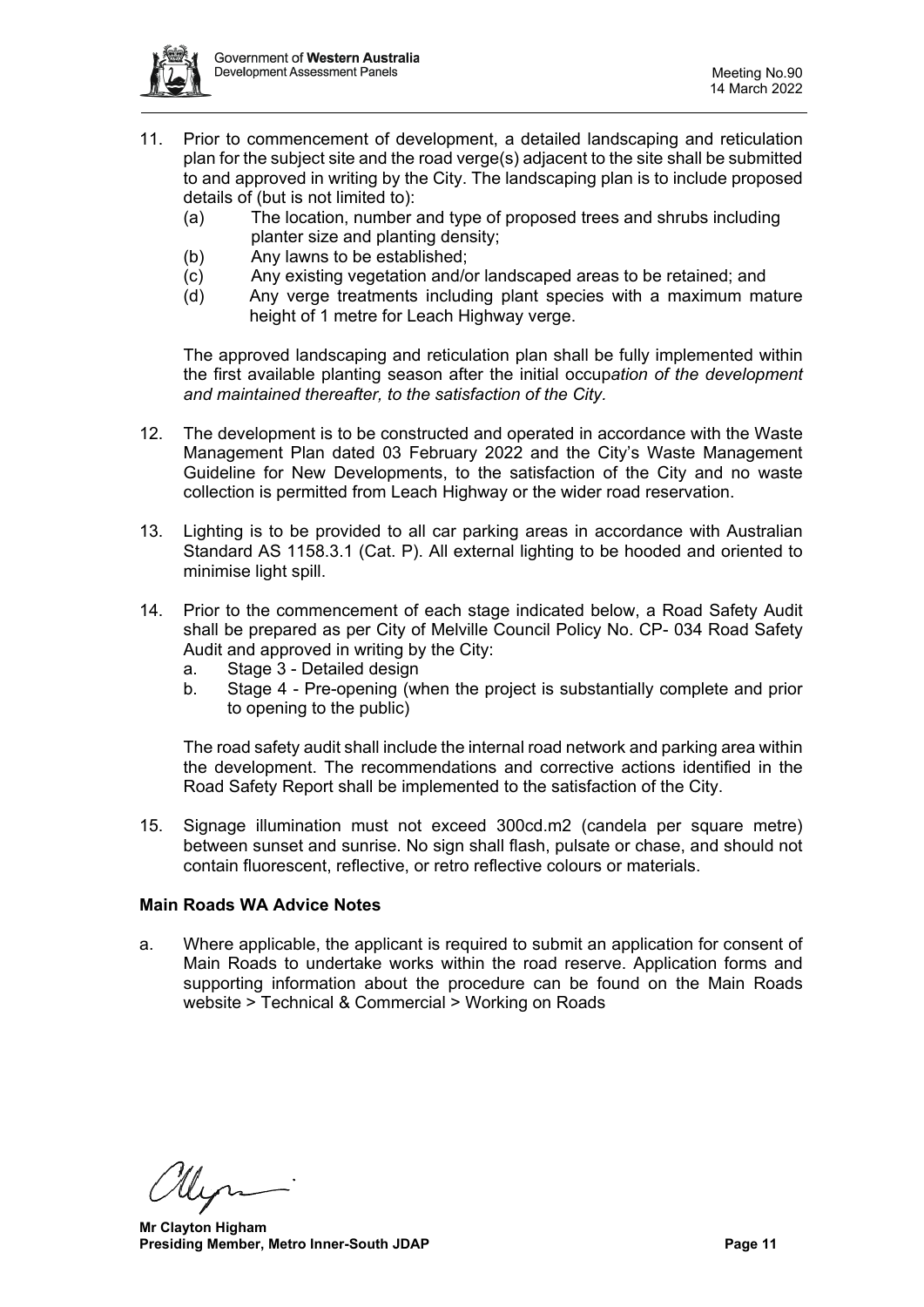

- 11. Prior to commencement of development, a detailed landscaping and reticulation plan for the subject site and the road verge(s) adjacent to the site shall be submitted to and approved in writing by the City. The landscaping plan is to include proposed details of (but is not limited to):
	- (a) The location, number and type of proposed trees and shrubs including planter size and planting density;
	- (b) Any lawns to be established;
	- (c) Any existing vegetation and/or landscaped areas to be retained; and (d) Any verge treatments including plant species with a maximum ma
	- Any verge treatments including plant species with a maximum mature height of 1 metre for Leach Highway verge.

The approved landscaping and reticulation plan shall be fully implemented within the first available planting season after the initial occup*ation of the development and maintained thereafter, to the satisfaction of the City.* 

- 12. The development is to be constructed and operated in accordance with the Waste Management Plan dated 03 February 2022 and the City's Waste Management Guideline for New Developments, to the satisfaction of the City and no waste collection is permitted from Leach Highway or the wider road reservation.
- 13. Lighting is to be provided to all car parking areas in accordance with Australian Standard AS 1158.3.1 (Cat. P). All external lighting to be hooded and oriented to minimise light spill.
- 14. Prior to the commencement of each stage indicated below, a Road Safety Audit shall be prepared as per City of Melville Council Policy No. CP- 034 Road Safety Audit and approved in writing by the City:
	- a. Stage 3 Detailed design
	- b. Stage 4 Pre-opening (when the project is substantially complete and prior to opening to the public)

The road safety audit shall include the internal road network and parking area within the development. The recommendations and corrective actions identified in the Road Safety Report shall be implemented to the satisfaction of the City.

15. Signage illumination must not exceed 300cd.m2 (candela per square metre) between sunset and sunrise. No sign shall flash, pulsate or chase, and should not contain fluorescent, reflective, or retro reflective colours or materials.

## **Main Roads WA Advice Notes**

a. Where applicable, the applicant is required to submit an application for consent of Main Roads to undertake works within the road reserve. Application forms and supporting information about the procedure can be found on the Main Roads website > Technical & Commercial > Working on Roads

 **Mr Clayton Higham Presiding Member, Metro Inner-South JDAP Page 11 Page 11**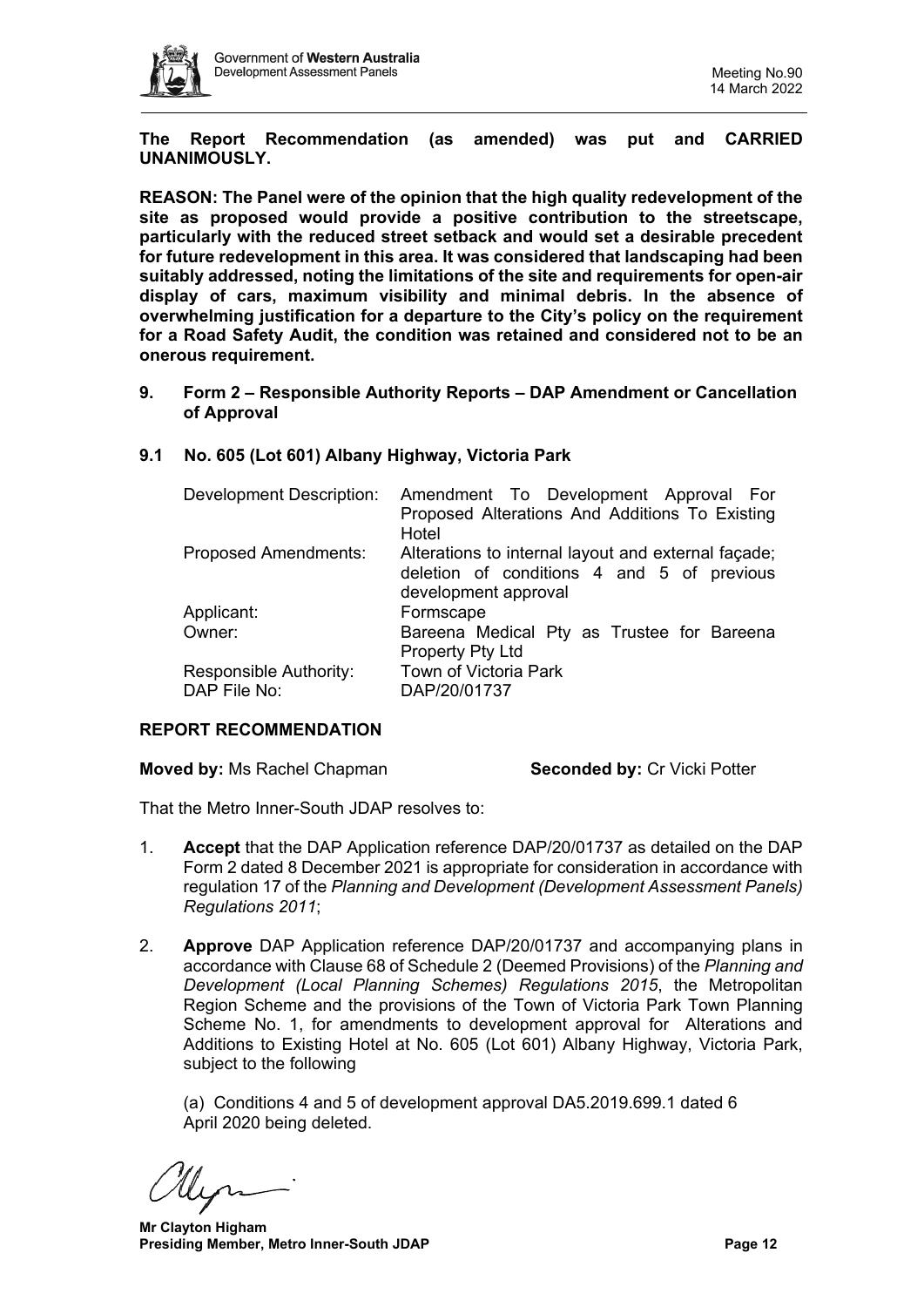

**The Report Recommendation (as amended) was put and CARRIED UNANIMOUSLY.**

**REASON: The Panel were of the opinion that the high quality redevelopment of the site as proposed would provide a positive contribution to the streetscape, particularly with the reduced street setback and would set a desirable precedent for future redevelopment in this area. It was considered that landscaping had been suitably addressed, noting the limitations of the site and requirements for open-air display of cars, maximum visibility and minimal debris. In the absence of overwhelming justification for a departure to the City's policy on the requirement for a Road Safety Audit, the condition was retained and considered not to be an onerous requirement.**

<span id="page-11-0"></span>**9. Form 2 – Responsible Authority Reports – DAP Amendment or Cancellation of Approval**

| Development Description:               | Amendment To Development Approval For<br>Proposed Alterations And Additions To Existing<br>Hotel                          |
|----------------------------------------|---------------------------------------------------------------------------------------------------------------------------|
| <b>Proposed Amendments:</b>            | Alterations to internal layout and external façade;<br>deletion of conditions 4 and 5 of previous<br>development approval |
| Applicant:                             | Formscape                                                                                                                 |
| Owner:                                 | Bareena Medical Pty as Trustee for Bareena<br>Property Pty Ltd                                                            |
| Responsible Authority:<br>DAP File No: | <b>Town of Victoria Park</b><br>DAP/20/01737                                                                              |

## <span id="page-11-1"></span>**9.1 No. 605 (Lot 601) Albany Highway, Victoria Park**

#### **REPORT RECOMMENDATION**

**Moved by: Ms Rachel Chapman <b>Seconded by:** Cr Vicki Potter

That the Metro Inner-South JDAP resolves to:

- 1. **Accept** that the DAP Application reference DAP/20/01737 as detailed on the DAP Form 2 dated 8 December 2021 is appropriate for consideration in accordance with regulation 17 of the *Planning and Development (Development Assessment Panels) Regulations 2011*;
- 2. **Approve** DAP Application reference DAP/20/01737 and accompanying plans in accordance with Clause 68 of Schedule 2 (Deemed Provisions) of the *Planning and Development (Local Planning Schemes) Regulations 2015*, the Metropolitan Region Scheme and the provisions of the Town of Victoria Park Town Planning Scheme No. 1, for amendments to development approval for Alterations and Additions to Existing Hotel at No. 605 (Lot 601) Albany Highway, Victoria Park, subject to the following

(a) Conditions 4 and 5 of development approval DA5.2019.699.1 dated 6 April 2020 being deleted.

 **Mr Clayton Higham Presiding Member, Metro Inner-South JDAP Page 12 Page 12**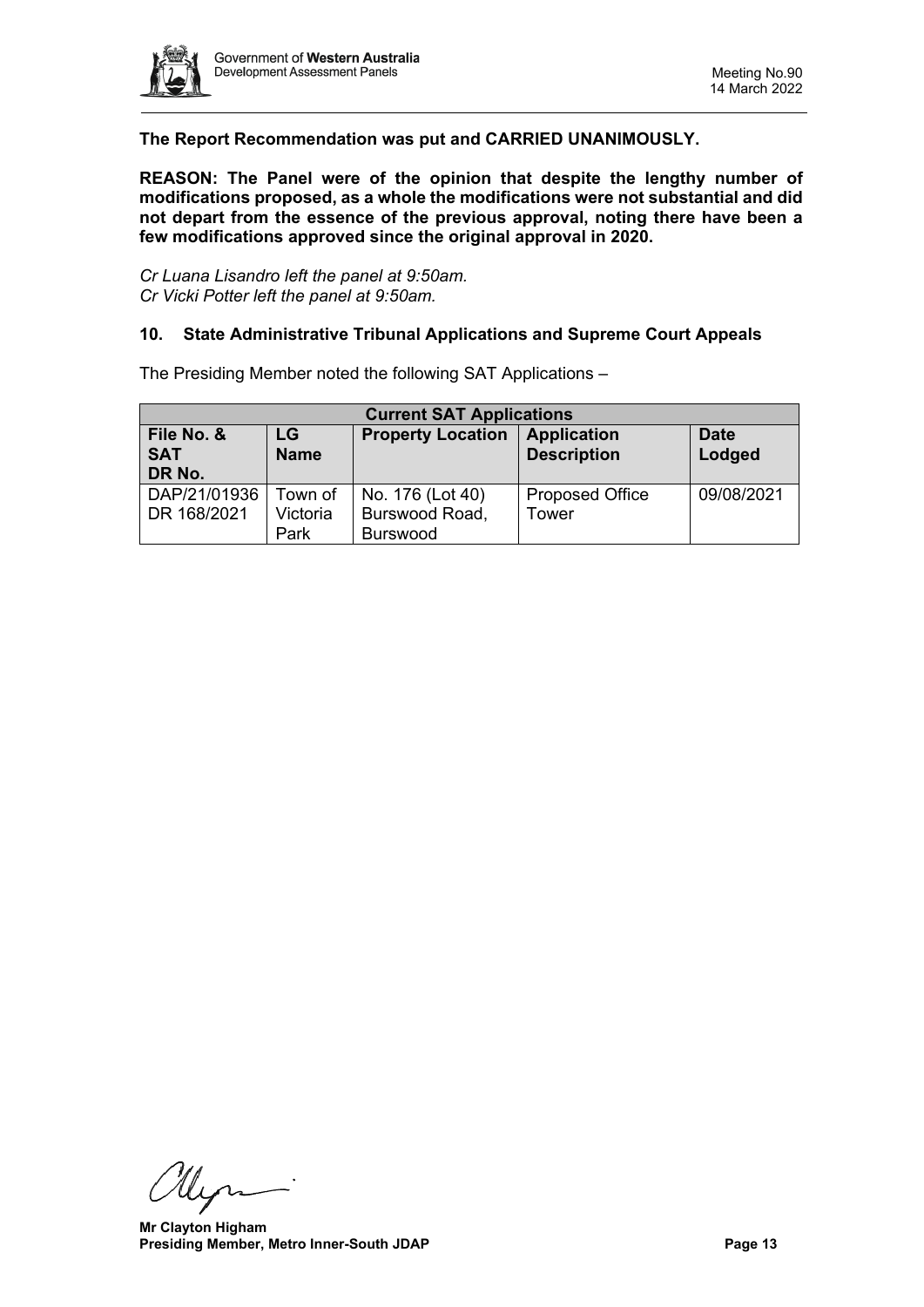

# **The Report Recommendation was put and CARRIED UNANIMOUSLY.**

**REASON: The Panel were of the opinion that despite the lengthy number of modifications proposed, as a whole the modifications were not substantial and did not depart from the essence of the previous approval, noting there have been a few modifications approved since the original approval in 2020.**

<span id="page-12-0"></span>*Cr Luana Lisandro left the panel at 9:50am. Cr Vicki Potter left the panel at 9:50am.*

#### **10. State Administrative Tribunal Applications and Supreme Court Appeals**

The Presiding Member noted the following SAT Applications –

<span id="page-12-1"></span>

| <b>Current SAT Applications</b> |                   |                          |                                          |                       |  |  |  |
|---------------------------------|-------------------|--------------------------|------------------------------------------|-----------------------|--|--|--|
| File No. &<br><b>SAT</b>        | LG<br><b>Name</b> | <b>Property Location</b> | <b>Application</b><br><b>Description</b> | <b>Date</b><br>Lodged |  |  |  |
| DR No.                          |                   |                          |                                          |                       |  |  |  |
| DAP/21/01936                    | Town of           | No. 176 (Lot 40)         | <b>Proposed Office</b>                   | 09/08/2021            |  |  |  |
| DR 168/2021                     | Victoria          | Burswood Road,           | Tower                                    |                       |  |  |  |
|                                 | Park              | <b>Burswood</b>          |                                          |                       |  |  |  |

llyn-

 **Mr Clayton Higham Presiding Member, Metro Inner-South JDAP Page 13 Page 13**